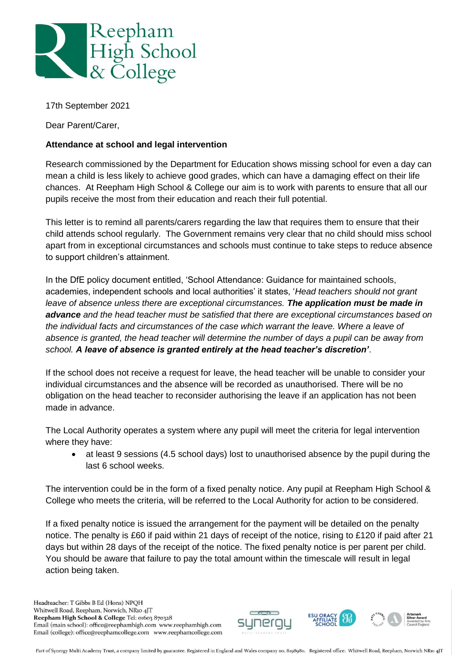

17th September 2021

Dear Parent/Carer,

## **Attendance at school and legal intervention**

Research commissioned by the Department for Education shows missing school for even a day can mean a child is less likely to achieve good grades, which can have a damaging effect on their life chances. At Reepham High School & College our aim is to work with parents to ensure that all our pupils receive the most from their education and reach their full potential.

This letter is to remind all parents/carers regarding the law that requires them to ensure that their child attends school regularly. The Government remains very clear that no child should miss school apart from in exceptional circumstances and schools must continue to take steps to reduce absence to support children's attainment.

In the DfE policy document entitled, 'School Attendance: Guidance for maintained schools, academies, independent schools and local authorities' it states, '*Head teachers should not grant leave of absence unless there are exceptional circumstances. The application must be made in advance and the head teacher must be satisfied that there are exceptional circumstances based on the individual facts and circumstances of the case which warrant the leave. Where a leave of absence is granted, the head teacher will determine the number of days a pupil can be away from school. A leave of absence is granted entirely at the head teacher's discretion'*.

If the school does not receive a request for leave, the head teacher will be unable to consider your individual circumstances and the absence will be recorded as unauthorised. There will be no obligation on the head teacher to reconsider authorising the leave if an application has not been made in advance.

The Local Authority operates a system where any pupil will meet the criteria for legal intervention where they have:

• at least 9 sessions (4.5 school days) lost to unauthorised absence by the pupil during the last 6 school weeks.

The intervention could be in the form of a fixed penalty notice. Any pupil at Reepham High School & College who meets the criteria, will be referred to the Local Authority for action to be considered.

If a fixed penalty notice is issued the arrangement for the payment will be detailed on the penalty notice. The penalty is £60 if paid within 21 days of receipt of the notice, rising to £120 if paid after 21 days but within 28 days of the receipt of the notice. The fixed penalty notice is per parent per child. You should be aware that failure to pay the total amount within the timescale will result in legal action being taken.

Headteacher: T Gibbs B Ed (Hons) NPQH Whitwell Road, Reepham, Norwich, NR10 4JT Reepham High School & College Tel: 01603 870328 Email (main school): office@reephamhigh.com www.reephamhigh.com Email (college): office@reephamcollege.com www.reephamcollege.com